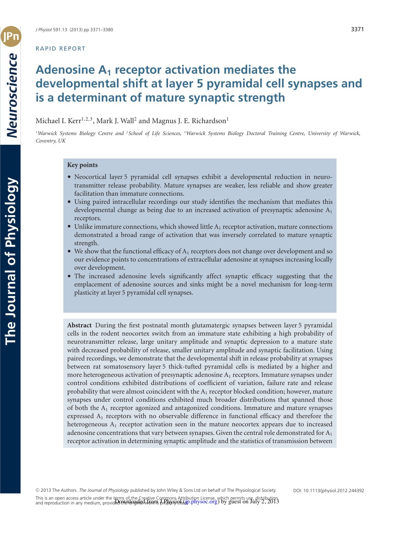# RAPID REPORT

# **Adenosine A1 receptor activation mediates the developmental shift at layer 5 pyramidal cell synapses and is a determinant of mature synaptic strength**

Michael I. Kerr<sup>1,2,3</sup>, Mark J. Wall<sup>2</sup> and Magnus J. E. Richardson<sup>1</sup>

<sup>1</sup>Warwick Systems Biology Centre and <sup>2</sup>School of Life Sciences, <sup>3</sup>Warwick Systems Biology Doctoral Training Centre, University of Warwick, *Coventry, UK*

## **Key points**

- Neocortical layer 5 pyramidal cell synapses exhibit a developmental reduction in neurotransmitter release probability. Mature synapses are weaker, less reliable and show greater facilitation than immature connections.
- Using paired intracellular recordings our study identifies the mechanism that mediates this developmental change as being due to an increased activation of presynaptic adenosine  $A_1$ receptors.
- Unlike immature connections, which showed little  $A_1$  receptor activation, mature connections demonstrated a broad range of activation that was inversely correlated to mature synaptic strength.
- We show that the functional efficacy of  $A_1$  receptors does not change over development and so our evidence points to concentrations of extracellular adenosine at synapses increasing locally over development.
- The increased adenosine levels significantly affect synaptic efficacy suggesting that the emplacement of adenosine sources and sinks might be a novel mechanism for long-term plasticity at layer 5 pyramidal cell synapses.

**Abstract** During the first postnatal month glutamatergic synapses between layer 5 pyramidal cells in the rodent neocortex switch from an immature state exhibiting a high probability of neurotransmitter release, large unitary amplitude and synaptic depression to a mature state with decreased probability of release, smaller unitary amplitude and synaptic facilitation. Using paired recordings, we demonstrate that the developmental shift in release probability at synapses between rat somatosensory layer 5 thick-tufted pyramidal cells is mediated by a higher and more heterogeneous activation of presynaptic adenosine  $A_1$  receptors. Immature synapses under control conditions exhibited distributions of coefficient of variation, failure rate and release probability that were almost coincident with the  $A_1$  receptor blocked condition; however, mature synapses under control conditions exhibited much broader distributions that spanned those of both the  $A_1$  receptor agonized and antagonized conditions. Immature and mature synapses expressed  $A_1$  receptors with no observable difference in functional efficacy and therefore the heterogeneous  $A_1$  receptor activation seen in the mature neocortex appears due to increased adenosine concentrations that vary between synapses. Given the central role demonstrated for  $A_1$ receptor activation in determining synaptic amplitude and the statistics of transmission between

**T**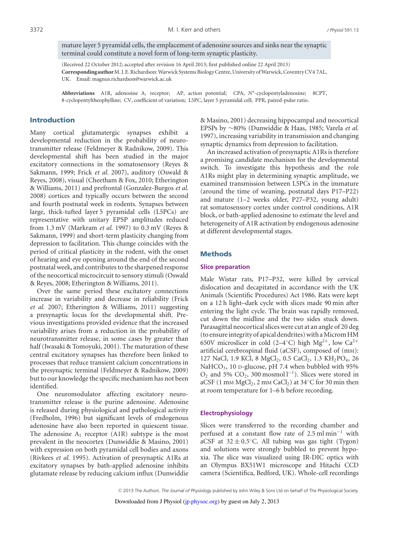mature layer 5 pyramidal cells, the emplacement of adenosine sources and sinks near the synaptic terminal could constitute a novel form of long-term synaptic plasticity.

(Received 22 October 2012; accepted after revision 16 April 2013; first published online 22 April 2013) **Correspondingauthor**M.J.E.Richardson:Warwick SystemsBiologyCentre,University ofWarwick,CoventryCV4 7AL, UK. Email: magnus.richardson@warwick.ac.uk

Abbreviations A1R, adenosine A<sub>1</sub> receptor; AP, action potential; CPA, N<sup>6</sup>-cyclopentyladenosine; 8CPT, 8-cyclopentyltheophylline; CV, coefficient of variation; L5PC, layer 5 pyramidal cell; PPR, paired-pulse ratio.

## Introduction

Many cortical glutamatergic synapses exhibit a developmental reduction in the probability of neurotransmitter release (Feldmeyer & Radnikow, 2009). This developmental shift has been studied in the major excitatory connections in the somatosensory (Reyes & Sakmann, 1999; Frick *et al.* 2007), auditory (Oswald & Reyes, 2008), visual (Cheetham & Fox, 2010; Etherington & Williams, 2011) and prefrontal (Gonzalez-Burgos *et al.* 2008) cortices and typically occurs between the second and fourth postnatal week in rodents. Synapses between large, thick-tufted layer 5 pyramidal cells (L5PCs) are representative with unitary EPSP amplitudes reduced from 1.3 mV (Markram *et al.* 1997) to 0.3 mV (Reyes & Sakmann, 1999) and short-term plasticity changing from depression to facilitation. This change coincides with the period of critical plasticity in the rodent, with the onset of hearing and eye opening around the end of the second postnatal week, and contributes to the sharpened response of the neocortical microcircuit to sensory stimuli (Oswald & Reyes, 2008; Etherington & Williams, 2011).

Over the same period these excitatory connections increase in variability and decrease in reliability (Frick *et al.* 2007; Etherington & Williams, 2011) suggesting a presynaptic locus for the developmental shift. Previous investigations provided evidence that the increased variability arises from a reduction in the probability of neurotransmitter release, in some cases by greater than half (Iwasaki & Tomoyuki, 2001). The maturation of these central excitatory synapses has therefore been linked to processes that reduce transient calcium concentrations in the presynaptic terminal (Feldmeyer & Radnikow, 2009) but to our knowledge the specific mechanism has not been identified.

One neuromodulator affecting excitatory neurotransmitter release is the purine adenosine. Adenosine is released during physiological and pathological activity (Fredholm, 1996) but significant levels of endogenous adenosine have also been reported in quiescent tissue. The adenosine  $A_1$  receptor (A1R) subtype is the most prevalent in the neocortex (Dunwiddie & Masino, 2001) with expression on both pyramidal cell bodies and axons (Rivkees *et al.* 1995). Activation of presynaptic A1Rs at excitatory synapses by bath-applied adenosine inhibits glutamate release by reducing calcium influx (Dunwiddie

& Masino, 2001) decreasing hippocampal and neocortical EPSPs by ∼80% (Dunwiddie & Haas, 1985; Varela *et al.* 1997), increasing variability in transmission and changing synaptic dynamics from depression to facilitation.

An increased activation of presynaptic A1Rs is therefore a promising candidate mechanism for the developmental switch. To investigate this hypothesis and the role A1Rs might play in determining synaptic amplitude, we examined transmission between L5PCs in the immature (around the time of weaning, postnatal days P17–P22) and mature (1–2 weeks older, P27–P32, young adult) rat somatosensory cortex under control conditions, A1R block, or bath-applied adenosine to estimate the level and heterogeneity of A1R activation by endogenous adenosine at different developmental stages.

#### Methods

#### **Slice preparation**

Male Wistar rats, P17–P32, were killed by cervical dislocation and decapitated in accordance with the UK Animals (Scientific Procedures) Act 1986. Rats were kept on a 12 h light–dark cycle with slices made 90 min after entering the light cycle. The brain was rapidly removed, cut down the midline and the two sides stuck down. Parasagittal neocortical slices were cut at an angle of 20 deg (to ensure integrity of apical dendrites) with a Microm HM 650V microslicer in cold (2–4°C) high Mg<sup>2+</sup>, low Ca<sup>2+</sup> artificial cerebrospinal fluid (aCSF), composed of (mM): 127 NaCl, 1.9 KCl, 8 MgCl<sub>2</sub>, 0.5 CaCl<sub>2</sub>, 1.3 KH<sub>2</sub>PO<sub>4</sub>, 26 NaHCO<sub>3</sub>, 10 D-glucose, pH 7.4 when bubbled with 95%  $O_2$  and 5%  $CO_2$ , 300 mosmol  $l^{-1}$ ). Slices were stored in aCSF (1 mM  $MgCl<sub>2</sub>$ , 2 mM CaCl<sub>2</sub>) at 34 $\degree$ C for 30 min then at room temperature for 1–6 h before recording.

#### **Electrophysiology**

Slices were transferred to the recording chamber and perfused at a constant flow rate of 2.5 ml min−<sup>1</sup> with aCSF at  $32 \pm 0.5$ °C. All tubing was gas tight (Tygon) and solutions were strongly bubbled to prevent hypoxia. The slice was visualized using IR-DIC optics with an Olympus BX51W1 microscope and Hitachi CCD camera (Scientifica, Bedford, UK). Whole-cell recordings

!<sup>C</sup> 2013 The Authors. *The Journal of Physiology* published by John Wiley & Sons Ltd on behalf of The Physiological Society.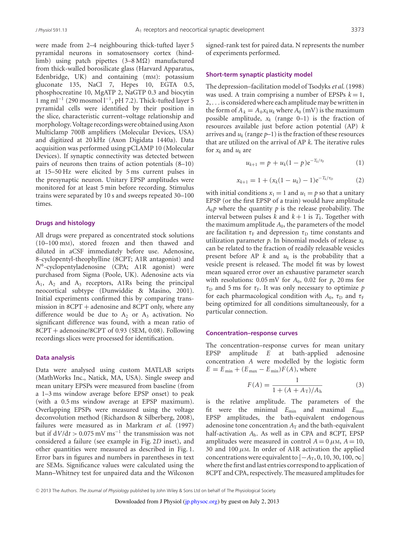were made from 2–4 neighbouring thick-tufted layer 5 pyramidal neurons in somatosensory cortex (hindlimb) using patch pipettes  $(3-8)$  manufactured from thick-walled borosilicate glass (Harvard Apparatus, Edenbridge, UK) and containing (mM): potassium gluconate 135, NaCl 7, Hepes 10, EGTA 0.5, phosphocreatine 10, MgATP 2, NaGTP 0.3 and biocytin 1 mg ml<sup>-1</sup> (290 mosmol l<sup>-1</sup>, pH 7.2). Thick-tufted layer 5 pyramidal cells were identified by their position in the slice, characteristic current–voltage relationship and morphology.Voltage recordingswere obtained usingAxon Multiclamp 700B amplifiers (Molecular Devices, USA) and digitized at 20 kHz (Axon Digidata 1440a). Data acquisition was performed using pCLAMP 10 (Molecular Devices). If synaptic connectivity was detected between pairs of neurons then trains of action potentials (8–10) at 15–50 Hz were elicited by 5 ms current pulses in the presynaptic neuron. Unitary EPSP amplitudes were monitored for at least 5 min before recording. Stimulus trains were separated by 10 s and sweeps repeated 30–100 times.

## **Drugs and histology**

All drugs were prepared as concentrated stock solutions (10–100 mM), stored frozen and then thawed and diluted in aCSF immediately before use. Adenosine, 8-cyclopentyl-theophylline (8CPT; A1R antagonist) and *N*6-cyclopentyladenosine (CPA; A1R agonist) were purchased from Sigma (Poole, UK). Adenosine acts via  $A_1$ ,  $A_2$  and  $A_3$  receptors, A1Rs being the principal neocortical subtype (Dunwiddie & Masino, 2001). Initial experiments confirmed this by comparing transmission in  $8CPT +$  adenosine and  $8CPT$  only, where any difference would be due to  $A_2$  or  $A_3$  activation. No significant difference was found, with a mean ratio of 8CPT + adenosine/8CPT of 0.93 (SEM, 0.08). Following recordings slices were processed for identification.

#### **Data analysis**

Data were analysed using custom MATLAB scripts (MathWorks Inc., Natick, MA, USA). Single sweep and mean unitary EPSPs were measured from baseline (from a 1–3 ms window average before EPSP onset) to peak (with a 0.5 ms window average at EPSP maximum). Overlapping EPSPs were measured using the voltage deconvolution method (Richardson & Silberberg, 2008), failures were measured as in Markram *et al.* (1997) but if  $dV/dt > 0.075$  mV ms<sup>-1</sup> the transmission was not considered a failure (see example in Fig. 2*D* inset), and other quantities were measured as described in Fig. 1. Error bars in figures and numbers in parentheses in text are SEMs. Significance values were calculated using the Mann–Whitney test for unpaired data and the Wilcoxon signed-rank test for paired data. N represents the number of experiments performed.

#### **Short-term synaptic plasticity model**

The depression–facilitation model of Tsodyks*et al.* (1998) was used. A train comprising a number of EPSPs  $k = 1$ , 2,. . .is consideredwhere each amplitudemay bewritten in the form of  $A_k = A_0 x_k u_k$  where  $A_0$  (mV) is the maximum possible amplitude,  $x_k$  (range 0–1) is the fraction of resources available just before action potential (AP) *k* arrives and  $u_k$  (range  $p-1$ ) is the fraction of these resources that are utilized on the arrival of AP *k*. The iterative rules for *xk* and *uk* are

$$
u_{k+1} = p + u_k(1-p)e^{-T_k/\tau_F}
$$
 (1)

$$
x_{k+1} = 1 + (x_k(1 - u_k) - 1)e^{-T_k/\tau_D}
$$
 (2)

with initial conditions  $x_1 = 1$  and  $u_1 = p$  so that a unitary EPSP (or the first EPSP of a train) would have amplitude  $A_0$ *p* where the quantity *p* is the release probability. The interval between pulses *k* and  $k+1$  is  $T_k$ . Together with the maximum amplitude  $A_0$ , the parameters of the model are facilitation  $\tau_F$  and depression  $\tau_D$  time constants and utilization parameter  $p$ . In binomial models of release  $x_k$ can be related to the fraction of readily releasable vesicles present before AP  $k$  and  $u_k$  is the probability that a vesicle present is released. The model fit was by lowest mean squared error over an exhaustive parameter search with resolutions:  $0.05 \text{ mV}$  for  $A_0$ ,  $0.02$  for  $p$ ,  $20 \text{ ms}$  for  $\tau_{\text{D}}$  and 5 ms for  $\tau_{\text{F}}$ . It was only necessary to optimize *p* for each pharmacological condition with  $A_0$ ,  $\tau_D$  and  $\tau_F$ being optimized for all conditions simultaneously, for a particular connection.

#### **Concentration–response curves**

The concentration–response curves for mean unitary EPSP amplitude *E* at bath-applied adenosine concentration *A* were modelled by the logistic form  $E = E_{\min} + (E_{\max} - E_{\min})F(A)$ , where

$$
F(A) = \frac{1}{1 + (A + A_{\rm T})/A_{\rm h}}
$$
 (3)

is the relative amplitude. The parameters of the fit were the minimal *E*min and maximal *E*max EPSP amplitudes, the bath-equivalent endogenous adenosine tone concentration  $A_T$  and the bath-equivalent half-activation *A*h. As well as in CPA and 8CPT, EPSP amplitudes were measured in control  $A = 0 \mu M$ ,  $A = 10$ , 30 and 100  $\mu$ M. In order of A1R activation the applied concentrations were equivalent to  $[-A_T, 0, 10, 30, 100, \infty]$ where the first and last entries correspond to application of 8CPT and CPA, respectively. The measured amplitudes for

<sup>!</sup><sup>C</sup> 2013 The Authors. *The Journal of Physiology* published by John Wiley & Sons Ltd on behalf of The Physiological Society.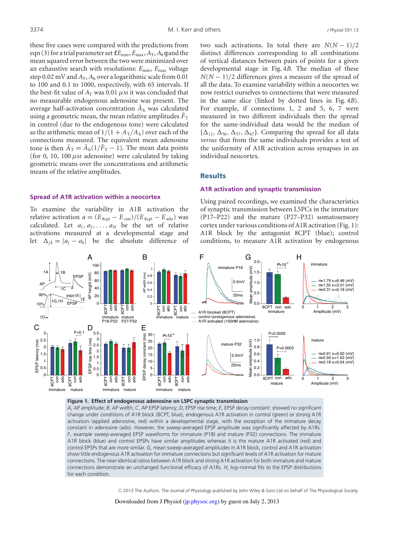these five cases were compared with the predictions from eqn(3) for a trial parameter set  $fE_{min}$ ,  $E_{max}$ ,  $A_T$ ,  $A_h$ gand the mean squared error between the two were minimized over an exhaustive search with resolutions:  $E_{\text{min}}$ ,  $E_{\text{max}}$  voltage step 0.02 mV and  $A_T$ ,  $A_h$  over a logarithmic scale from 0.01 to 100 and 0.1 to 1000, respectively, with 65 intervals. If the best-fit value of  $A_T$  was 0.01  $\mu$ M it was concluded that no measurable endogenous adenosine was present. The average half-activation concentration  $\bar{A}_{h}$  was calculated using a geometric mean, the mean relative amplitudes  $\bar{F}_{T}$ in control (due to the endogenous tone) were calculated as the arithmetic mean of  $1/(1 + A_T/A_h)$  over each of the connections measured. The equivalent mean adenosine tone is then  $\bar{A}_T = \bar{A}_h(1/\bar{F}_T - 1)$ . The mean data points (for 0, 10, 100  $\mu$ M adenosine) were calculated by taking geometric means over the concentrations and arithmetic means of the relative amplitudes.

## **Spread of A1R activation within a neocortex**

To examine the variability in A1R activation the relative activation  $a = (E_{8\text{cpt}} - E_{\text{con}})/(E_{8\text{cpt}} - E_{\text{ado}})$  was calculated. Let  $a_1, a_2, \ldots, a_N$  be the set of relative activations measured at a developmental stage and let  $\Delta_{jk} = |a_j - a_k|$  be the absolute difference of two such activations. In total there are  $N(N-1)/2$ distinct differences corresponding to all combinations of vertical distances between pairs of points for a given developmental stage in Fig. 4*B*. The median of these *N*(*N* − 1)/2 differences gives a measure of the spread of all the data. To examine variability within a neocortex we now restrict ourselves to connections that were measured in the same slice (linked by dotted lines in Fig. 4*B*). For example, if connections 1, 2 and 5, 6, 7 were measured in two different individuals then the spread for the same-individual data would be the median of  $\{\Delta_{12}, \Delta_{56}, \Delta_{57}, \Delta_{67}\}.$  Comparing the spread for all data *versus* that from the same individuals provides a test of the uniformity of A1R activation across synapses in an individual neocortex.

#### **Results**

#### **A1R activation and synaptic transmission**

Using paired recordings, we examined the characteristics of synaptic transmission between L5PCs in the immature (P17–P22) and the mature (P27–P32) somatosensory cortex under various conditions of A1R activation (Fig. 1): A1R block by the antagonist 8CPT (blue); control conditions, to measure A1R activation by endogenous



#### **Figure 1. Effect of endogenous adenosine on L5PC synaptic transmission**

*A*, AP amplitude; *B*, AP width; *C*, AP EPSP latency; *D*, EPSP rise time; *E*, EPSP decay constant: showed no significant change under conditions of A1R block (8CPT, blue), endogenous A1R activation in control (green) or strong A1R activation (applied adenosine, red) within a developmental stage, with the exception of the immature decay constant in adenosine (ado). However, the sweep-averaged EPSP amplitude was significantly affected by A1Rs. *F*, example sweep-averaged EPSP waveforms for immature (P18) and mature (P32) connections. The immature A1R block (blue) and control EPSPs have similar amplitudes whereas it is the mature A1R activated (red) and control EPSPs that are more similar. *G*, mean sweep-averaged amplitudes in A1R block, control and A1R activation show little endogenous A1R activation for immature connections but significant levels of A1R activation for mature connections. The near-identical ratios between A1R block and strong A1R activation for both immature and mature connections demonstrate an unchanged functional efficacy of A1Rs. *H*, log–normal fits to the EPSP distributions for each condition.

!<sup>C</sup> 2013 The Authors. *The Journal of Physiology* published by John Wiley & Sons Ltd on behalf of The Physiological Society.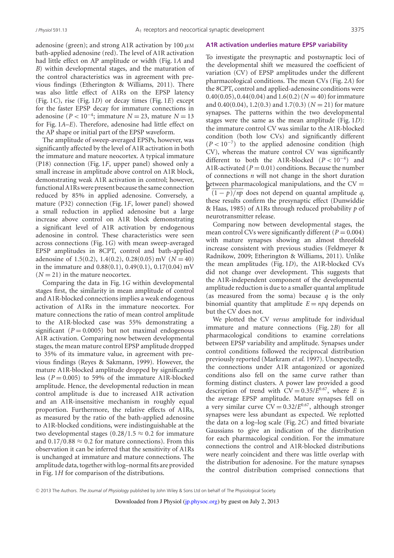adenosine (green); and strong A1R activation by 100  $\mu$ M bath-applied adenosine (red). The level of A1R activation had little effect on AP amplitude or width (Fig. 1*A* and *B*) within developmental stages, and the maturation of the control characteristics was in agreement with previous findings (Etherington & Williams, 2011). There was also little effect of A1Rs on the EPSP latency (Fig. 1*C*), rise (Fig. 1*D*) or decay times (Fig. 1*E*) except for the faster EPSP decay for immature connections in adenosine ( $P < 10^{-4}$ ; immature  $N = 23$ , mature  $N = 13$ for Fig. 1*A*–*E*). Therefore, adenosine had little effect on the AP shape or initial part of the EPSP waveform.

The amplitude of sweep-averaged EPSPs, however, was significantly affected by the level of A1R activation in both the immature and mature neocortex. A typical immature (P18) connection (Fig. 1*F*, upper panel) showed only a small increase in amplitude above control on A1R block, demonstrating weak A1R activation in control; however, functionalA1Rswere present because the same connection reduced by 85% in applied adenosine. Conversely, a mature (P32) connection (Fig. 1*F*, lower panel) showed a small reduction in applied adenosine but a large increase above control on A1R block demonstrating a significant level of A1R activation by endogenous adenosine in control. These characteristics were seen across connections (Fig. 1*G*) with mean sweep-averaged EPSP amplitudes in 8CPT, control and bath-applied adenosine of 1.5(0.2), 1.4(0.2), 0.28(0.05) mV ( $N = 40$ ) in the immature and  $0.88(0.1)$ ,  $0.49(0.1)$ ,  $0.17(0.04)$  mV  $(N = 21)$  in the mature neocortex.

Comparing the data in Fig. 1*G* within developmental stages first, the similarity in mean amplitude of control and A1R-blocked connections implies a weak endogenous activation of A1Rs in the immature neocortex. For mature connections the ratio of mean control amplitude to the A1R-blocked case was 55% demonstrating a significant  $(P = 0.0005)$  but not maximal endogenous A1R activation. Comparing now between developmental stages, the mean mature control EPSP amplitude dropped to 35% of its immature value, in agreement with previous findings (Reyes & Sakmann, 1999). However, the mature A1R-blocked amplitude dropped by significantly less ( $P = 0.005$ ) to 59% of the immature A1R-blocked amplitude. Hence, the developmental reduction in mean control amplitude is due to increased A1R activation and an A1R-insensitive mechanism in roughly equal proportion. Furthermore, the relative effects of A1Rs, as measured by the ratio of the bath-applied adenosine to A1R-blocked conditions, were indistinguishable at the two developmental stages  $(0.28/1.5 \approx 0.2$  for immature and  $0.17/0.88 \approx 0.2$  for mature connections). From this observation it can be inferred that the sensitivity of A1Rs is unchanged at immature and mature connections. The amplitude data, together with log-normal fits are provided in Fig. 1*H* for comparison of the distributions.

#### **A1R activation underlies mature EPSP variability**

To investigate the presynaptic and postsynaptic loci of the developmental shift we measured the coefficient of variation (CV) of EPSP amplitudes under the different pharmacological conditions. The mean CVs (Fig. 2*A*) for the 8CPT, control and applied-adenosine conditions were 0.40(0.05), 0.44(0.04) and 1.6(0.2) ( $N = 40$ ) for immature and 0.40(0.04), 1.2(0.3) and 1.7(0.3) (*N* = 21) for mature synapses. The patterns within the two developmental stages were the same as the mean amplitude (Fig. 1*D*): the immature control CV was similar to the A1R-blocked condition (both low CVs) and significantly different  $(P < 10^{-7})$  to the applied adenosine condition (high CV), whereas the mature control CV was significantly different to both the A1R-blocked (*P* < 10−4) and A1R-activated ( $P = 0.01$ ) conditions. Because the number of connections *n* will not change in the short duration between pharmacological manipulations, and the  $CV =$  $\sqrt{(1-p)/np}$  does not depend on quantal amplitude *q*, these results confirm the presynaptic effect (Dunwiddie & Haas, 1985) of A1Rs through reduced probability *p* of neurotransmitter release.

Comparing now between developmental stages, the mean control CVs were significantly different ( $P = 0.004$ ) with mature synapses showing an almost threefold increase consistent with previous studies (Feldmeyer & Radnikow, 2009; Etherington & Williams, 2011). Unlike the mean amplitudes (Fig. 1*D*), the A1R-blocked CVs did not change over development. This suggests that the A1R-independent component of the developmental amplitude reduction is due to a smaller quantal amplitude (as measured from the soma) because *q* is the only binomial quantity that amplitude  $E = npq$  depends on but the CV does not.

We plotted the CV *versus* amplitude for individual immature and mature connections (Fig. 2*B*) for all pharmacological conditions to examine correlations between EPSP variability and amplitude. Synapses under control conditions followed the reciprocal distribution previously reported (Markram *et al.* 1997). Unexpectedly, the connections under A1R antagonized or agonized conditions also fell on the same curve rather than forming distinct clusters. A power law provided a good description of trend with  $CV = 0.35/E^{0.67}$ , where *E* is the average EPSP amplitude. Mature synapses fell on a very similar curve  $CV = 0.32/E^{0.67}$ , although stronger synapses were less abundant as expected. We replotted the data on a log–log scale (Fig. 2*C*) and fitted bivariate Gaussians to give an indication of the distribution for each pharmacological condition. For the immature connections the control and A1R-blocked distributions were nearly coincident and there was little overlap with the distribution for adenosine. For the mature synapses the control distribution comprised connections that

!<sup>C</sup> 2013 The Authors. *The Journal of Physiology* published by John Wiley & Sons Ltd on behalf of The Physiological Society.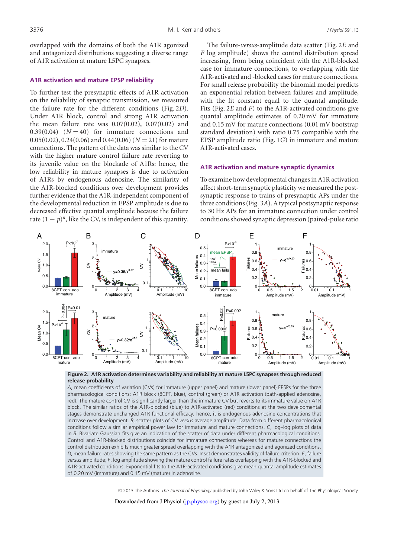overlapped with the domains of both the A1R agonized and antagonized distributions suggesting a diverse range of A1R activation at mature L5PC synapses.

#### **A1R activation and mature EPSP reliability**

To further test the presynaptic effects of A1R activation on the reliability of synaptic transmission, we measured the failure rate for the different conditions (Fig. 2*D*). Under A1R block, control and strong A1R activation the mean failure rate was  $0.07(0.02)$ ,  $0.07(0.02)$  and  $0.39(0.04)$   $(N = 40)$  for immature connections and  $0.05(0.02)$ ,  $0.24(0.06)$  and  $0.44(0.06)(N = 21)$  for mature connections. The pattern of the data was similar to the CV with the higher mature control failure rate reverting to its juvenile value on the blockade of A1Rs: hence, the low reliability in mature synapses is due to activation of A1Rs by endogenous adenosine. The similarity of the A1R-blocked conditions over development provides further evidence that the A1R-independent component of the developmental reduction in EPSP amplitude is due to decreased effective quantal amplitude because the failure rate  $(1 - p)^n$ , like the CV, is independent of this quantity.

The failure-*versus*-amplitude data scatter (Fig. 2*E* and *F* log amplitude) shows the control distribution spread increasing, from being coincident with the A1R-blocked case for immature connections, to overlapping with the A1R-activated and -blocked cases for mature connections. For small release probability the binomial model predicts an exponential relation between failures and amplitude, with the fit constant equal to the quantal amplitude. Fits (Fig. 2*E* and *F*) to the A1R-activated conditions give quantal amplitude estimates of 0.20 mV for immature and 0.15 mV for mature connections (0.01 mV bootstrap standard deviation) with ratio 0.75 compatible with the EPSP amplitude ratio (Fig. 1*G*) in immature and mature A1R-activated cases.

#### **A1R activation and mature synaptic dynamics**

To examine how developmental changes in A1R activation affect short-term synaptic plasticity we measured the postsynaptic response to trains of presynaptic APs under the three conditions(Fig. 3*A*).Atypical postsynaptic response to 30 Hz APs for an immature connection under control conditionsshowed synaptic depression (paired-pulse ratio



**Figure 2. A1R activation determines variability and reliability at mature L5PC synapses through reduced release probability**

*A*, mean coefficients of variation (CVs) for immature (upper panel) and mature (lower panel) EPSPs for the three pharmacological conditions: A1R block (8CPT, blue), control (green) or A1R activation (bath-applied adenosine, red). The mature control CV is significantly larger than the immature CV but reverts to its immature value on A1R block. The similar ratios of the A1R-blocked (blue) to A1R-activated (red) conditions at the two developmental stages demonstrate unchanged A1R functional efficacy; hence, it is endogenous adenosine concentrations that increase over development. *B*, scatter plots of CV *versus* average amplitude. Data from different pharmacological conditions follow a similar empirical power law for immature and mature connections. *C*, log–log plots of data in *B*. Bivariate Gaussian fits give an indication of the scatter of data under different pharmacological conditions. Control and A1R-blocked distributions coincide for immature connections whereas for mature connections the control distribution exhibits much greater spread overlapping with the A1R antagonized and agonized conditions. *D*, mean failure rates showing the same pattern as the CVs. Inset demonstrates validity of failure criterion. *E*, failure *versus* amplitude; *F*, log amplitude showing the mature control failure rates overlapping with the A1R-blocked and A1R-activated conditions. Exponential fits to the A1R-activated conditions give mean quantal amplitude estimates of 0.20 mV (immature) and 0.15 mV (mature) in adenosine.

!<sup>C</sup> 2013 The Authors. *The Journal of Physiology* published by John Wiley & Sons Ltd on behalf of The Physiological Society.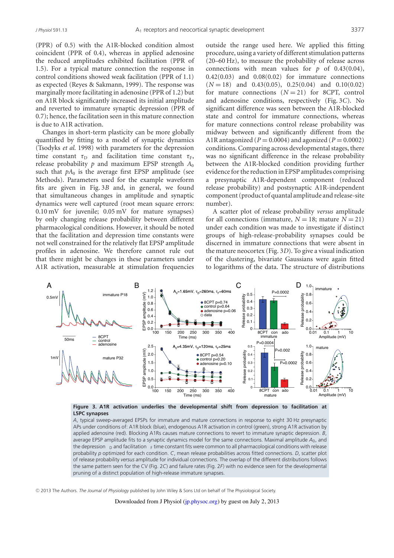(PPR) of 0.5) with the A1R-blocked condition almost coincident (PPR of 0.4), whereas in applied adenosine the reduced amplitudes exhibited facilitation (PPR of 1.5). For a typical mature connection the response in control conditions showed weak facilitation (PPR of 1.1) as expected (Reyes & Sakmann, 1999). The response was marginally more facilitating in adenosine (PPR of 1.2) but on A1R block significantly increased its initial amplitude and reverted to immature synaptic depression (PPR of 0.7); hence, the facilitation seen in this mature connection is due to A1R activation.

Changes in short-term plasticity can be more globally quantified by fitting to a model of synaptic dynamics (Tsodyks *et al.* 1998) with parameters for the depression time constant  $\tau_D$  and facilitation time constant  $\tau_F$ , release probability *p* and maximum EPSP strength *A*<sup>0</sup> such that  $pA_0$  is the average first EPSP amplitude (see Methods). Parameters used for the example waveform fits are given in Fig. 3*B* and, in general, we found that simultaneous changes in amplitude and synaptic dynamics were well captured (root mean square errors: 0.10 mV for juvenile; 0.05 mV for mature synapses) by only changing release probability between different pharmacological conditions. However, it should be noted that the facilitation and depression time constants were not well constrained for the relatively flat EPSP amplitude profiles in adenosine. We therefore cannot rule out that there might be changes in these parameters under A1R activation, measurable at stimulation frequencies

outside the range used here. We applied this fitting procedure, using a variety of different stimulation patterns (20–60 Hz), to measure the probability of release across connections with mean values for  $p$  of 0.43(0.04), 0.42(0.03) and 0.08(0.02) for immature connections  $(N = 18)$  and 0.43(0.05), 0.25(0.04) and 0.10(0.02) for mature connections  $(N = 21)$  for 8CPT, control and adenosine conditions, respectively (Fig. 3*C*). No significant difference was seen between the A1R-blocked state and control for immature connections, whereas for mature connections control release probability was midway between and significantly different from the A1R antagonized ( $P = 0.0004$ ) and agonized ( $P = 0.0002$ ) conditions. Comparing across developmental stages, there was no significant difference in the release probability between the A1R-blocked condition providing further evidence forthe reduction in EPSP amplitudes comprising a presynaptic A1R-dependent component (reduced release probability) and postsynaptic A1R-independent component(product of quantal amplitude and release-site number).

A scatter plot of release probability *versus* amplitude for all connections (immature,  $N = 18$ ; mature  $N = 21$ ) under each condition was made to investigate if distinct groups of high-release-probability synapses could be discerned in immature connections that were absent in the mature neocortex (Fig. 3*D*). To give a visual indication of the clustering, bivariate Gaussians were again fitted to logarithms of the data. The structure of distributions





*A*, typical sweep-averaged EPSPs for immature and mature connections in response to eight 30 Hz presynaptic APs under conditions of: A1R block (blue), endogenous A1R activation in control (green), strong A1R activation by applied adenosine (red). Blocking A1Rs causes mature connections to revert to immature synaptic depression. *B*, average EPSP amplitude fits to a synaptic dynamics model for the same connections. Maximal amplitude *A*0, and the depression  $D$  and facilitation  $F$  time constant fits were common to all pharmacological conditions with release probability *p* optimized for each condition. *C*, mean release probabilities across fitted connections. *D*, scatter plot of release probability *versus* amplitude for individual connections. The overlap of the different distributions follows the same pattern seen for the CV (Fig. 2*C*) and failure rates (Fig. 2*F*) with no evidence seen for the developmental pruning of a distinct population of high-release immature synapses.

!<sup>C</sup> 2013 The Authors. *The Journal of Physiology* published by John Wiley & Sons Ltd on behalf of The Physiological Society.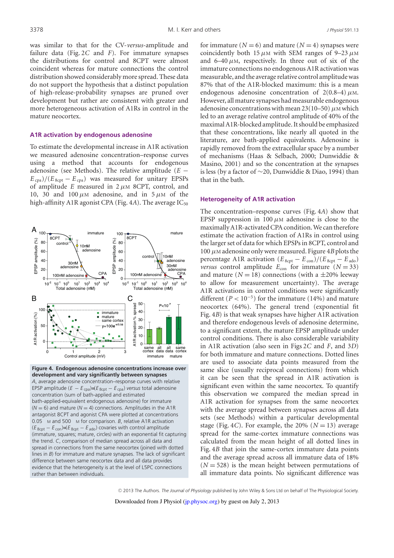was similar to that for the CV-*versus*-amplitude and failure data (Fig. 2*C* and *F*). For immature synapses the distributions for control and 8CPT were almost coincident whereas for mature connections the control distribution showed considerably more spread. These data do not support the hypothesis that a distinct population of high-release-probability synapses are pruned over development but rather are consistent with greater and more heterogeneous activation of A1Rs in control in the mature neocortex.

## **A1R activation by endogenous adenosine**

To estimate the developmental increase in A1R activation we measured adenosine concentration–response curves using a method that accounts for endogenous adenosine (see Methods). The relative amplitude (*E* −  $E_{\rm cpa}$ )/( $E_{\rm 8cpt} - E_{\rm cpa}$ ) was measured for unitary EPSPs of amplitude  $E$  measured in  $2 \mu M$  8CPT, control, and 10, 30 and 100  $\mu$ M adenosine, and in 5  $\mu$ M of the high-affinity A1R agonist CPA (Fig.  $4A$ ). The average  $IC_{50}$ 



**Figure 4. Endogenous adenosine concentrations increase over development and vary significantly between synapses** *A*, average adenosine concentration–response curves with relative EPSP amplitude  $(E - E_{\text{coa}}) = (E_{\text{scot}} - E_{\text{coa}})$  *versus* total adenosine concentration (sum of bath-applied and estimated bath-applied-equivalent endogenous adenosine) for immature  $(N = 6)$  and mature ( $N = 4$ ) connections. Amplitudes in the A1R antagonist 8CPT and agonist CPA were plotted at concentrations 0.05 M and 500 M for comparison. *B*, relative A1R activation  $(E_{8\text{cpt}} - E_{\text{con}}) \neq E_{8\text{cpt}} - E_{\text{ado}})$  covaries with control amplitude (immature, squares; mature, circles) with an exponential fit capturing the trend. *C*, comparison of median spread across all data and spread in connections from the same neocortex (joined with dotted lines in *B*) for immature and mature synapses. The lack of significant difference between same neocortex data and all data provides evidence that the heterogeneity is at the level of L5PC connections rather than between individuals.

for immature  $(N = 6)$  and mature  $(N = 4)$  synapses were coincidently both 15  $\mu$ M with SEM ranges of 9–23  $\mu$ M and  $6-40 \mu$ M, respectively. In three out of six of the immature connections no endogenous A1R activation was measurable, and the average relative control amplitudewas 87% that of the A1R-blocked maximum: this is a mean endogenous adenosine concentration of  $2(0.8-4) \mu$ M. However, all mature synapses had measurable endogenous adenosine concentrations with mean  $23(10-50)$   $\mu$ M which led to an average relative control amplitude of 40% of the maximalA1R-blocked amplitude.Itshould be emphasized that these concentrations, like nearly all quoted in the literature, are bath-applied equivalents. Adenosine is rapidly removed from the extracellular space by a number of mechanisms (Haas & Selbach, 2000; Dunwiddie & Masino, 2001) and so the concentration at the synapses is less (by a factor of ∼20, Dunwiddie & Diao, 1994) than that in the bath.

#### **Heterogeneity of A1R activation**

The concentration–response curves (Fig. 4*A*) show that EPSP suppression in 100  $\mu$ M adenosine is close to the maximally A1R-activated CPA condition. We can therefore estimate the activation fraction of A1Rs in control using the larger set of data for which EPSPs in 8CPT, control and 100  $\mu$ M adenosine only were measured. Figure 4*B* plots the percentage A1R activation  $(E_{8\text{cpt}} - E_{\text{con}})/(E_{8\text{cpt}} - E_{\text{ado}})$ *versus* control amplitude  $E_{\text{con}}$  for immature  $(N = 33)$ and mature  $(N = 18)$  connections (with a  $\pm 20\%$  leeway to allow for measurement uncertainty). The average A1R activations in control conditions were significantly different  $(P < 10^{-5})$  for the immature (14%) and mature neocortex (64%). The general trend (exponential fit Fig. 4*B*) is that weak synapses have higher A1R activation and therefore endogenous levels of adenosine determine, to a significant extent, the mature EPSP amplitude under control conditions. There is also considerable variability in A1R activation (also seen in Figs 2*C* and *F*, and 3*D*) for both immature and mature connections. Dotted lines are used to associate data points measured from the same slice (usually reciprocal connections) from which it can be seen that the spread in A1R activation is significant even within the same neocortex. To quantify this observation we compared the median spread in A1R activation for synapses from the same neocortex with the average spread between synapses across all data sets (see Methods) within a particular developmental stage (Fig. 4*C*). For example, the 20% ( $N = 13$ ) average spread for the same-cortex immature connections was calculated from the mean height of all dotted lines in Fig. 4*B* that join the same-cortex immature data points and the average spread across all immature data of 18%  $(N = 528)$  is the mean height between permutations of all immature data points. No significant difference was

!<sup>C</sup> 2013 The Authors. *The Journal of Physiology* published by John Wiley & Sons Ltd on behalf of The Physiological Society. Downloaded from J Physiol (jp.physoc.org) by guest on July 2, 2013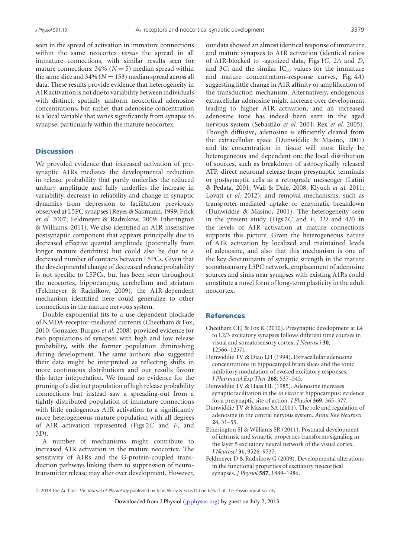seen in the spread of activation in immature connections within the same neocortex *versus* the spread in all immature connections, with similar results seen for mature connections:  $34\%$  ( $N = 5$ ) median spread within the same slice and  $34\%$  ( $N = 153$ ) median spread across all data. These results provide evidence that heterogeneity in A1R activation is not due to variability between individuals with distinct, spatially uniform neocortical adenosine concentrations, but rather that adenosine concentration is a local variable that varies significantly from synapse to synapse, particularly within the mature neocortex.

## **Discussion**

We provided evidence that increased activation of presynaptic A1Rs mediates the developmental reduction in release probability that partly underlies the reduced unitary amplitude and fully underlies the increase in variability, decrease in reliability and change in synaptic dynamics from depression to facilitation previously observed at L5PC synapses(Reyes & Sakmann, 1999; Frick *et al.* 2007; Feldmeyer & Radnikow, 2009; Etherington & Williams, 2011). We also identified an A1R-insensitive postsynaptic component that appears principally due to decreased effective quantal amplitude (potentially from longer mature dendrites) but could also be due to a decreased number of contacts between L5PCs. Given that the developmental change of decreased release probability is not specific to L5PCs, but has been seen throughout the neocortex, hippocampus, cerebellum and striatum (Feldmeyer & Radnikow, 2009), the A1R-dependent mechanism identified here could generalize to other connections in the mature nervous system.

Double-exponential fits to a use-dependent blockade of NMDA-receptor-mediated currents (Cheetham & Fox, 2010; Gonzalez-Burgos *et al.* 2008) provided evidence for two populations of synapses with high and low release probability, with the former population diminishing during development. The same authors also suggested their data might be interpreted as reflecting shifts in more continuous distributions and our results favour this latter intepretation. We found no evidence for the pruning of a distinct population of high release probability connections but instead saw a spreading-out from a tightly distributed population of immature connections with little endogenous A1R activation to a significantly more heterogeneous mature population with all degrees of A1R activation represented (Figs 2*C* and *F*, and 3*D*).

A number of mechanisms might contribute to increased A1R activation in the mature neocortex. The sensitivity of A1Rs and the G-protein-coupled transduction pathways linking them to suppression of neurotransmitter release may alter over development. However,

our data showed an almost identical response of immature and mature synapses to A1R activation (identical ratios of A1R-blocked to -agonized data, Figs 1*G*, 2*A* and *D*, and 3*C*; and the similar  $IC_{50}$  values for the immature and mature concentration–response curves, Fig. 4*A*) suggesting little change in A1R affinity or amplification of the transduction mechanism. Alternatively, endogenous extracellular adenosine might increase over development leading to higher A1R activation, and an increased adenosine tone has indeed been seen in the aged nervous system (Sebastia˜o *et al.* 2001; Rex *et al.* 2005). Though diffusive, adenosine is efficiently cleared from the extracellular space (Dunwiddie & Masino, 2001) and its concentration in tissue will most likely be heterogeneous and dependent on: the local distribution of sources, such as breakdown of astrocytically released ATP, direct neuronal release from presynaptic terminals or postsynaptic cells as a retrograde messenger (Latini & Pedata, 2001; Wall & Dale, 2008; Klyuch *et al.* 2011; Lovatt *et al.* 2012); and removal mechanisms, such as transporter-mediated uptake or enzymatic breakdown (Dunwiddie & Masino, 2001). The heterogeneity seen in the present study (Figs 2*C* and *F*, 3*D* and 4*B*) in the levels of A1R activation at mature connections supports this picture. Given the heterogeneous nature of A1R activation by localized and maintained levels of adenosine, and also that this mechanism is one of the key determinants of synaptic strength in the mature somatosensory L5PC network, emplacement of adenosine sources and sinks near synapses with existing A1Rs could constitute a novel form of long-term plasticity in the adult neocortex.

## References

- Cheetham CEJ & Fox K (2010). Presynaptic development at L4 to L2/3 excitatory synapses follows different time courses in visual and somatosensory cortex. *J Neurosci* **30**, 12566–12571.
- Dunwiddie TV & Diao LH (1994). Extracellular adenosine concentrations in hippocampal brain slices and the tonic inhibitory modulation of evoked excitatory responses. *J Pharmacol Exp Ther* **268**, 537–545.
- Dunwiddie TV & Haas HL (1985). Adenosine increases synaptic facilitation in the *in vitro* rat hippocampus: evidence for a presynaptic site of action. *J Physiol* **369**, 365–377.
- Dunwiddie TV & Masino SA (2001). The role and regulation of adenosine in the central nervous system. *Annu Rev Neurosci* **24**, 31–55.
- Etherington SJ & Williams SR (2011). Postnatal development of intrinsic and synaptic properties transforms signaling in the layer 5 excitatory neural network of the visual cortex. *J Neurosci* **31**, 9526–9537.
- Feldmeyer D & Radnikow G (2009). Developmental alterations in the functional properties of excitatory neocortical synapses. *J Physiol* **587**, 1889–1986.

!<sup>C</sup> 2013 The Authors. *The Journal of Physiology* published by John Wiley & Sons Ltd on behalf of The Physiological Society.